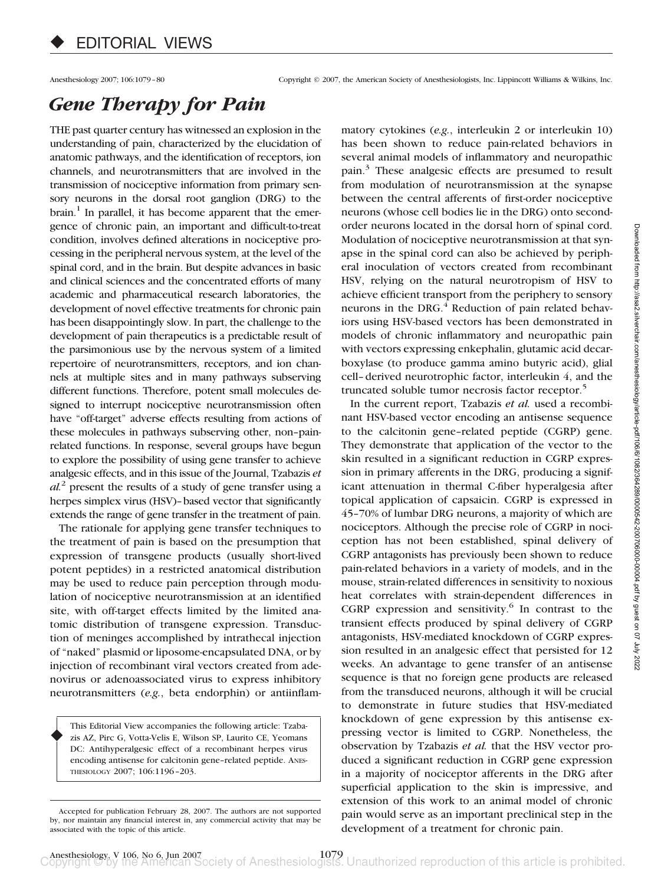Anesthesiology 2007; 106:1079–80 Copyright © 2007, the American Society of Anesthesiologists, Inc. Lippincott Williams & Wilkins, Inc.

# *Gene Therapy for Pain*

THE past quarter century has witnessed an explosion in the understanding of pain, characterized by the elucidation of anatomic pathways, and the identification of receptors, ion channels, and neurotransmitters that are involved in the transmission of nociceptive information from primary sensory neurons in the dorsal root ganglion (DRG) to the  $brain<sup>1</sup>$  In parallel, it has become apparent that the emergence of chronic pain, an important and difficult-to-treat condition, involves defined alterations in nociceptive processing in the peripheral nervous system, at the level of the spinal cord, and in the brain. But despite advances in basic and clinical sciences and the concentrated efforts of many academic and pharmaceutical research laboratories, the development of novel effective treatments for chronic pain has been disappointingly slow. In part, the challenge to the development of pain therapeutics is a predictable result of the parsimonious use by the nervous system of a limited repertoire of neurotransmitters, receptors, and ion channels at multiple sites and in many pathways subserving different functions. Therefore, potent small molecules designed to interrupt nociceptive neurotransmission often have "off-target" adverse effects resulting from actions of these molecules in pathways subserving other, non–painrelated functions. In response, several groups have begun to explore the possibility of using gene transfer to achieve analgesic effects, and in this issue of the Journal, Tzabazis *et al.*<sup>2</sup> present the results of a study of gene transfer using a herpes simplex virus (HSV)–based vector that significantly extends the range of gene transfer in the treatment of pain.

The rationale for applying gene transfer techniques to the treatment of pain is based on the presumption that expression of transgene products (usually short-lived potent peptides) in a restricted anatomical distribution may be used to reduce pain perception through modulation of nociceptive neurotransmission at an identified site, with off-target effects limited by the limited anatomic distribution of transgene expression. Transduction of meninges accomplished by intrathecal injection of "naked" plasmid or liposome-encapsulated DNA, or by injection of recombinant viral vectors created from adenovirus or adenoassociated virus to express inhibitory neurotransmitters (*e.g.*, beta endorphin) or antiinflam-

This Editorial View accompanies the following article: Tzabazis AZ, Pirc G, Votta-Velis E, Wilson SP, Laurito CE, Yeomans DC: Antihyperalgesic effect of a recombinant herpes virus encoding antisense for calcitonin gene–related peptide. ANES-THESIOLOGY 2007; 106:1196–203. ♦

matory cytokines (*e.g.*, interleukin 2 or interleukin 10) has been shown to reduce pain-related behaviors in several animal models of inflammatory and neuropathic pain.3 These analgesic effects are presumed to result from modulation of neurotransmission at the synapse between the central afferents of first-order nociceptive neurons (whose cell bodies lie in the DRG) onto secondorder neurons located in the dorsal horn of spinal cord. Modulation of nociceptive neurotransmission at that synapse in the spinal cord can also be achieved by peripheral inoculation of vectors created from recombinant HSV, relying on the natural neurotropism of HSV to achieve efficient transport from the periphery to sensory neurons in the DRG. $4$  Reduction of pain related behaviors using HSV-based vectors has been demonstrated in models of chronic inflammatory and neuropathic pain with vectors expressing enkephalin, glutamic acid decarboxylase (to produce gamma amino butyric acid), glial cell–derived neurotrophic factor, interleukin 4, and the truncated soluble tumor necrosis factor receptor.<sup>5</sup>

In the current report, Tzabazis *et al.* used a recombinant HSV-based vector encoding an antisense sequence to the calcitonin gene–related peptide (CGRP) gene. They demonstrate that application of the vector to the skin resulted in a significant reduction in CGRP expression in primary afferents in the DRG, producing a significant attenuation in thermal C-fiber hyperalgesia after topical application of capsaicin. CGRP is expressed in 45–70% of lumbar DRG neurons, a majority of which are nociceptors. Although the precise role of CGRP in nociception has not been established, spinal delivery of CGRP antagonists has previously been shown to reduce pain-related behaviors in a variety of models, and in the mouse, strain-related differences in sensitivity to noxious heat correlates with strain-dependent differences in CGRP expression and sensitivity. $6$  In contrast to the transient effects produced by spinal delivery of CGRP antagonists, HSV-mediated knockdown of CGRP expression resulted in an analgesic effect that persisted for 12 weeks. An advantage to gene transfer of an antisense sequence is that no foreign gene products are released from the transduced neurons, although it will be crucial to demonstrate in future studies that HSV-mediated knockdown of gene expression by this antisense expressing vector is limited to CGRP. Nonetheless, the observation by Tzabazis *et al.* that the HSV vector produced a significant reduction in CGRP gene expression in a majority of nociceptor afferents in the DRG after superficial application to the skin is impressive, and extension of this work to an animal model of chronic pain would serve as an important preclinical step in the development of a treatment for chronic pain.

Accepted for publication February 28, 2007. The authors are not supported by, nor maintain any financial interest in, any commercial activity that may be associated with the topic of this article.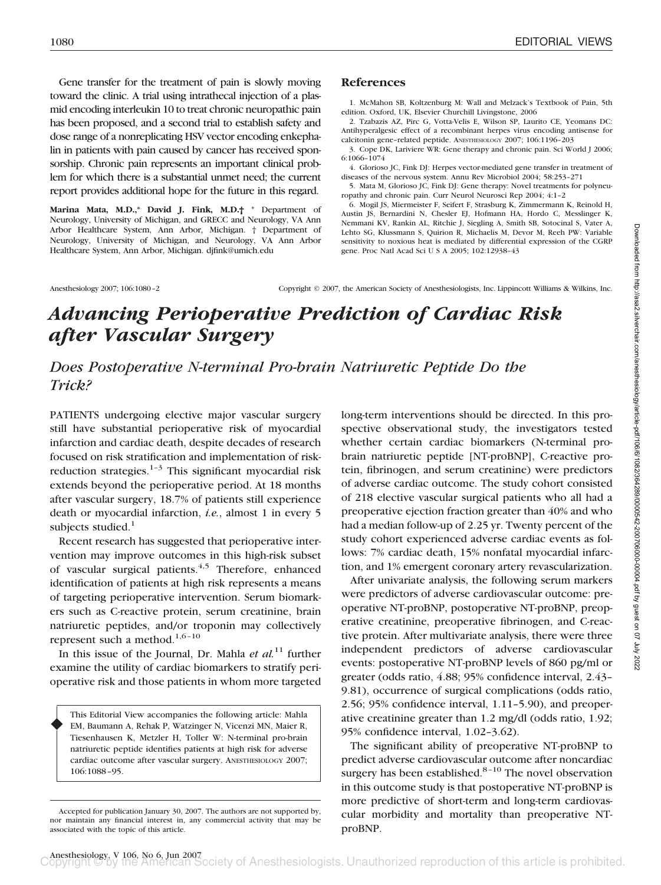Gene transfer for the treatment of pain is slowly moving toward the clinic. A trial using intrathecal injection of a plasmid encoding interleukin 10 to treat chronic neuropathic pain has been proposed, and a second trial to establish safety and dose range of a nonreplicating HSV vector encoding enkephalin in patients with pain caused by cancer has received sponsorship. Chronic pain represents an important clinical problem for which there is a substantial unmet need; the current report provides additional hope for the future in this regard.

**Marina Mata, M.D.,\* David J. Fink, M.D.†** \* Department of Neurology, University of Michigan, and GRECC and Neurology, VA Ann Arbor Healthcare System, Ann Arbor, Michigan. † Department of Neurology, University of Michigan, and Neurology, VA Ann Arbor Healthcare System, Ann Arbor, Michigan. djfink@umich.edu

Anesthesiology 2007; 106:1080–2 Copyright © 2007, the American Society of Anesthesiologists, Inc. Lippincott Williams & Wilkins, Inc.

gene. Proc Natl Acad SciUSA 2005; 102:12938–43

ropathy and chronic pain. Curr Neurol Neurosci Rep 2004; 4:1–2

edition. Oxford, UK, Elsevier Churchill Livingstone, 2006

1. McMahon SB, Koltzenburg M: Wall and Melzack's Textbook of Pain, 5th

2. Tzabazis AZ, Pirc G, Votta-Velis E, Wilson SP, Laurito CE, Yeomans DC: Antihyperalgesic effect of a recombinant herpes virus encoding antisense for calcitonin gene–related peptide. ANESTHESIOLOGY 2007; 106:1196–203

3. Cope DK, Lariviere WR: Gene therapy and chronic pain. Sci World J 2006;

4. Glorioso JC, Fink DJ: Herpes vector-mediated gene transfer in treatment of diseases of the nervous system. Annu Rev Microbiol 2004; 58:253–271 5. Mata M, Glorioso JC, Fink DJ: Gene therapy: Novel treatments for polyneu-

6. Mogil JS, Miermeister F, Seifert F, Strasburg K, Zimmermann K, Reinold H, Austin JS, Bernardini N, Chesler EJ, Hofmann HA, Hordo C, Messlinger K, Nemmani KV, Rankin AL, Ritchie J, Siegling A, Smith SB, Sotocinal S, Vater A, Lehto SG, Klussmann S, Quirion R, Michaelis M, Devor M, Reeh PW: Variable sensitivity to noxious heat is mediated by differential expression of the CGRP

**References**

6:1066–1074

# *Advancing Perioperative Prediction of Cardiac Risk after Vascular Surgery*

## *Does Postoperative N-terminal Pro-brain Natriuretic Peptide Do the Trick?*

PATIENTS undergoing elective major vascular surgery still have substantial perioperative risk of myocardial infarction and cardiac death, despite decades of research focused on risk stratification and implementation of riskreduction strategies. $1-3$  This significant myocardial risk extends beyond the perioperative period. At 18 months after vascular surgery, 18.7% of patients still experience death or myocardial infarction, *i.e.*, almost 1 in every 5 subjects studied.<sup>1</sup>

Recent research has suggested that perioperative intervention may improve outcomes in this high-risk subset of vascular surgical patients.4,5 Therefore, enhanced identification of patients at high risk represents a means of targeting perioperative intervention. Serum biomarkers such as C-reactive protein, serum creatinine, brain natriuretic peptides, and/or troponin may collectively represent such a method.1,6–10

In this issue of the Journal, Dr. Mahla *et al.*<sup>11</sup> further examine the utility of cardiac biomarkers to stratify perioperative risk and those patients in whom more targeted

This Editorial View accompanies the following article: Mahla EM, Baumann A, Rehak P, Watzinger N, Vicenzi MN, Maier R, Tiesenhausen K, Metzler H, Toller W: N-terminal pro-brain natriuretic peptide identifies patients at high risk for adverse cardiac outcome after vascular surgery. ANESTHESIOLOGY 2007; 106:1088–95. ♦

long-term interventions should be directed. In this prospective observational study, the investigators tested whether certain cardiac biomarkers (N-terminal probrain natriuretic peptide [NT-proBNP], C-reactive protein, fibrinogen, and serum creatinine) were predictors of adverse cardiac outcome. The study cohort consisted of 218 elective vascular surgical patients who all had a preoperative ejection fraction greater than 40% and who had a median follow-up of 2.25 yr. Twenty percent of the study cohort experienced adverse cardiac events as follows: 7% cardiac death, 15% nonfatal myocardial infarction, and 1% emergent coronary artery revascularization.

After univariate analysis, the following serum markers were predictors of adverse cardiovascular outcome: preoperative NT-proBNP, postoperative NT-proBNP, preoperative creatinine, preoperative fibrinogen, and C-reactive protein. After multivariate analysis, there were three independent predictors of adverse cardiovascular events: postoperative NT-proBNP levels of 860 pg/ml or greater (odds ratio, 4.88; 95% confidence interval, 2.43– 9.81), occurrence of surgical complications (odds ratio, 2.56; 95% confidence interval, 1.11–5.90), and preoperative creatinine greater than 1.2 mg/dl (odds ratio, 1.92; 95% confidence interval, 1.02–3.62).

The significant ability of preoperative NT-proBNP to predict adverse cardiovascular outcome after noncardiac surgery has been established. $8-10$  The novel observation in this outcome study is that postoperative NT-proBNP is more predictive of short-term and long-term cardiovascular morbidity and mortality than preoperative NTproBNP.

Accepted for publication January 30, 2007. The authors are not supported by, nor maintain any financial interest in, any commercial activity that may be associated with the topic of this article.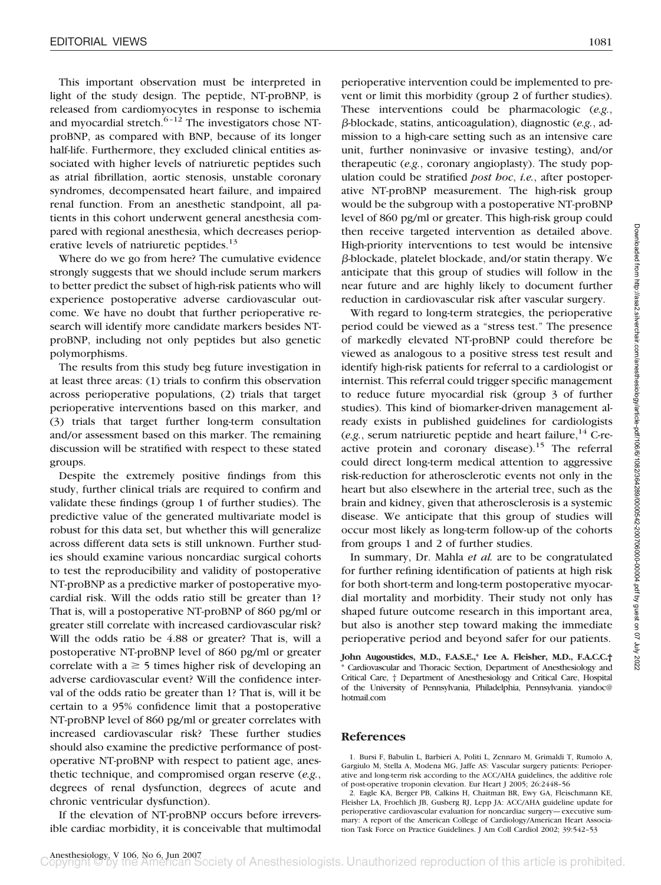This important observation must be interpreted in light of the study design. The peptide, NT-proBNP, is released from cardiomyocytes in response to ischemia and myocardial stretch. $6-12$  The investigators chose NTproBNP, as compared with BNP, because of its longer half-life. Furthermore, they excluded clinical entities associated with higher levels of natriuretic peptides such as atrial fibrillation, aortic stenosis, unstable coronary syndromes, decompensated heart failure, and impaired renal function. From an anesthetic standpoint, all patients in this cohort underwent general anesthesia compared with regional anesthesia, which decreases perioperative levels of natriuretic peptides.<sup>13</sup>

Where do we go from here? The cumulative evidence strongly suggests that we should include serum markers to better predict the subset of high-risk patients who will experience postoperative adverse cardiovascular outcome. We have no doubt that further perioperative research will identify more candidate markers besides NTproBNP, including not only peptides but also genetic polymorphisms.

The results from this study beg future investigation in at least three areas: (1) trials to confirm this observation across perioperative populations, (2) trials that target perioperative interventions based on this marker, and (3) trials that target further long-term consultation and/or assessment based on this marker. The remaining discussion will be stratified with respect to these stated groups.

Despite the extremely positive findings from this study, further clinical trials are required to confirm and validate these findings (group 1 of further studies). The predictive value of the generated multivariate model is robust for this data set, but whether this will generalize across different data sets is still unknown. Further studies should examine various noncardiac surgical cohorts to test the reproducibility and validity of postoperative NT-proBNP as a predictive marker of postoperative myocardial risk. Will the odds ratio still be greater than 1? That is, will a postoperative NT-proBNP of 860 pg/ml or greater still correlate with increased cardiovascular risk? Will the odds ratio be 4.88 or greater? That is, will a postoperative NT-proBNP level of 860 pg/ml or greater correlate with  $a \geq 5$  times higher risk of developing an adverse cardiovascular event? Will the confidence interval of the odds ratio be greater than 1? That is, will it be certain to a 95% confidence limit that a postoperative NT-proBNP level of 860 pg/ml or greater correlates with increased cardiovascular risk? These further studies should also examine the predictive performance of postoperative NT-proBNP with respect to patient age, anesthetic technique, and compromised organ reserve (*e.g.*, degrees of renal dysfunction, degrees of acute and chronic ventricular dysfunction).

If the elevation of NT-proBNP occurs before irreversible cardiac morbidity, it is conceivable that multimodal perioperative intervention could be implemented to prevent or limit this morbidity (group 2 of further studies). These interventions could be pharmacologic (*e.g.*, --blockade, statins, anticoagulation), diagnostic (*e.g.*, admission to a high-care setting such as an intensive care unit, further noninvasive or invasive testing), and/or therapeutic (*e.g.*, coronary angioplasty). The study population could be stratified *post hoc*, *i.e.*, after postoperative NT-proBNP measurement. The high-risk group would be the subgroup with a postoperative NT-proBNP level of 860 pg/ml or greater. This high-risk group could then receive targeted intervention as detailed above. High-priority interventions to test would be intensive --blockade, platelet blockade, and/or statin therapy. We anticipate that this group of studies will follow in the near future and are highly likely to document further reduction in cardiovascular risk after vascular surgery.

With regard to long-term strategies, the perioperative period could be viewed as a "stress test." The presence of markedly elevated NT-proBNP could therefore be viewed as analogous to a positive stress test result and identify high-risk patients for referral to a cardiologist or internist. This referral could trigger specific management to reduce future myocardial risk (group 3 of further studies). This kind of biomarker-driven management already exists in published guidelines for cardiologists (*e.g.*, serum natriuretic peptide and heart failure,  $14$  C-reactive protein and coronary disease).<sup>15</sup> The referral could direct long-term medical attention to aggressive risk-reduction for atherosclerotic events not only in the heart but also elsewhere in the arterial tree, such as the brain and kidney, given that atherosclerosis is a systemic disease. We anticipate that this group of studies will occur most likely as long-term follow-up of the cohorts from groups 1 and 2 of further studies.

In summary, Dr. Mahla *et al.* are to be congratulated for further refining identification of patients at high risk for both short-term and long-term postoperative myocardial mortality and morbidity. Their study not only has shaped future outcome research in this important area, but also is another step toward making the immediate perioperative period and beyond safer for our patients.

**John Augoustides, M.D., F.A.S.E.,\* Lee A. Fleisher, M.D., F.A.C.C.†** \* Cardiovascular and Thoracic Section, Department of Anesthesiology and Critical Care, † Department of Anesthesiology and Critical Care, Hospital of the University of Pennsylvania, Philadelphia, Pennsylvania. yiandoc@ hotmail.com

#### **References**

1. Bursi F, Babulin L, Barbieri A, Politi L, Zennaro M, Grimaldi T, Rumolo A, Gargiulo M, Stella A, Modena MG, Jaffe AS: Vascular surgery patients: Perioperative and long-term risk according to the ACC/AHA guidelines, the additive role of post-operative troponin elevation. Eur Heart J 2005; 26:2448–56

2. Eagle KA, Berger PB, Calkins H, Chaitman BR, Ewy GA, Fleischmann KE, Fleisher LA, Froehlich JB, Gusberg RJ, Lepp JA: ACC/AHA guideline update for perioperative cardiovascular evaluation for noncardiac surgery—executive summary: A report of the American College of Cardiology/American Heart Association Task Force on Practice Guidelines. J Am Coll Cardiol 2002; 39:542–53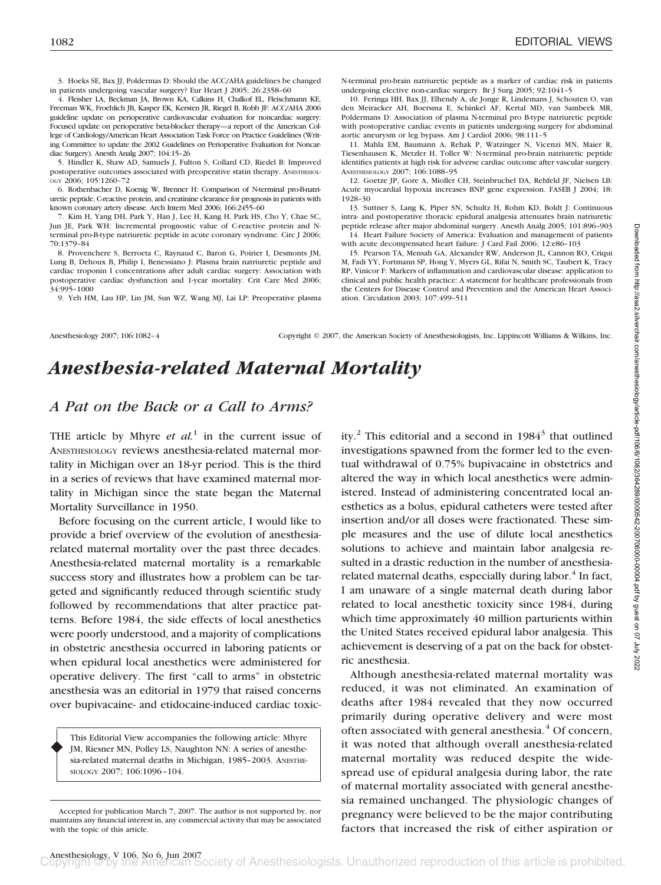3. Hoeks SE, Bax JJ, Poldermas D: Should the ACC/AHA guidelines be changed in patients undergoing vascular surgery? Eur Heart J 2005; 26:2358–60

4. Fleisher LA, Beckman JA, Brown KA, Calkins H, Chalkof EL, Fleischmann KE, Freeman WK, Froehlich JB, Kasper EK, Kersten JR, Riegel B, Robb JF: ACC/AHA 2006 guideline update on perioperative cardiovascular evaluation for noncardiac surgery: Focused update on perioperative beta-blocker therapy—a report of the American College of Cardiology/American Heart Association Task Force on Practice Guidelines (Writing Committee to update the 2002 Guidelines on Perioperative Evaluation for Noncardiac Surgery). Anesth Analg 2007; 104:15–26

5. Hindler K, Shaw AD, Samuels J, Fulton S, Collard CD, Riedel B: Improved postoperative outcomes associated with preoperative statin therapy. ANESTHESIOL-OGY 2006; 105:1260–72

6. Rothenbacher D, Koenig W, Brenner H: Comparison of N-terminal pro-B-natriuretic peptide, C-reactive protein, and creatinine clearance for prognosis in patients with known coronary artery disease. Arch Intern Med 2006; 166:2455–60

7. Kim H, Yang DH, Park Y, Han J, Lee H, Kang H, Park HS, Cho Y, Chae SC, Jun JE, Park WH: Incremental prognostic value of C-reactive protein and Nterminal pro-B-type natriuretic peptide in acute coronary syndrome. Circ J 2006; 70:1379–84

8. Provenchere S, Berroeta C, Raynaud C, Baron G, Poirier I, Desmonts JM, Lung B, Dehoux B, Philip I, Benessiano J: Plasma brain natriuretic peptide and cardiac troponin I concentrations after adult cardiac surgery: Association with postoperative cardiac dysfunction and 1-year mortality. Crit Care Med 2006; 34:995–1000

9. Yeh HM, Lau HP, Lin JM, Sun WZ, Wang MJ, Lai LP: Preoperative plasma

N-terminal pro-brain natriuretic peptide as a marker of cardiac risk in patients undergoing elective non-cardiac surgery. Br J Surg 2005; 92:1041–5

10. Feringa HH, Bax JJ, Elhendy A, de Jonge R, Lindemans J, Schouten O, van den Meiracker AH, Boersma E, Schinkel AF, Kertal MD, van Sambeek MR, Poldermans D: Association of plasma N-terminal pro B-type natriuretic peptide with postoperative cardiac events in patients undergoing surgery for abdominal aortic aneurysm or leg bypass. Am J Cardiol 2006; 98:111–5

11. Mahla EM, Baumann A, Rehak P, Watzinger N, Vicenzi MN, Maier R, Tiesenhausen K, Metzler H, Toller W: N-terminal pro-brain natriuretic peptide identifies patients at high risk for adverse cardiac outcome after vascular surgery. ANESTHESIOLOGY 2007; 106:1088–95

12. Goetze JP, Gore A, Mioller CH, Steinbruchel DA, Rehfeld JF, Nielsen LB: Acute myocardial hypoxia increases BNP gene expression. FASEB J 2004; 18: 1928–30

13. Suttner S, Lang K, Piper SN, Schultz H, Rohm KD, Boldt J: Continuous intra- and postoperative thoracic epidural analgesia attenuates brain natriuretic peptide release after major abdominal surgery. Anesth Analg 2005; 101:896–903 14. Heart Failure Society of America: Evaluation and management of patients

with acute decompensated heart failure. J Card Fail 2006; 12:e86–103 15. Pearson TA, Mensah GA, Alexander RW, Anderson JL, Cannon RO, Criqui M, Fadi YY, Fortmann SP, Hong Y, Myers GL, Rifai N, Smith SC, Taubert K, Tracy RP, Vinicor F: Markers of inflammation and cardiovascular disease: application to clinical and public health practice: A statement for healthcare professionals from the Centers for Disease Control and Prevention and the American Heart Association. Circulation 2003; 107:499–511

Anesthesiology 2007; 106:1082-4 Copyright © 2007, the American Society of Anesthesiologists, Inc. Lippincott Williams & Wilkins, Inc.

## *Anesthesia-related Maternal Mortality*

### *A Pat on the Back or a Call to Arms?*

THE article by Mhyre *et al.*<sup>1</sup> in the current issue of ANESTHESIOLOGY reviews anesthesia-related maternal mortality in Michigan over an 18-yr period. This is the third in a series of reviews that have examined maternal mortality in Michigan since the state began the Maternal Mortality Surveillance in 1950.

Before focusing on the current article, I would like to provide a brief overview of the evolution of anesthesiarelated maternal mortality over the past three decades. Anesthesia-related maternal mortality is a remarkable success story and illustrates how a problem can be targeted and significantly reduced through scientific study followed by recommendations that alter practice patterns. Before 1984, the side effects of local anesthetics were poorly understood, and a majority of complications in obstetric anesthesia occurred in laboring patients or when epidural local anesthetics were administered for operative delivery. The first "call to arms" in obstetric anesthesia was an editorial in 1979 that raised concerns over bupivacaine- and etidocaine-induced cardiac toxic-

This Editorial View accompanies the following article: Mhyre JM, Riesner MN, Polley LS, Naughton NN: A series of anesthesia-related maternal deaths in Michigan, 1985–2003. ANESTHE-SIOLOGY 2007; 106:1096–104.

♦

ity. $^{2}$  This editorial and a second in 1984 $^{3}$  that outlined investigations spawned from the former led to the eventual withdrawal of 0.75% bupivacaine in obstetrics and altered the way in which local anesthetics were administered. Instead of administering concentrated local anesthetics as a bolus, epidural catheters were tested after insertion and/or all doses were fractionated. These simple measures and the use of dilute local anesthetics solutions to achieve and maintain labor analgesia resulted in a drastic reduction in the number of anesthesiarelated maternal deaths, especially during labor.<sup>4</sup> In fact, I am unaware of a single maternal death during labor related to local anesthetic toxicity since 1984, during which time approximately 40 million parturients within the United States received epidural labor analgesia. This achievement is deserving of a pat on the back for obstetric anesthesia.

Although anesthesia-related maternal mortality was reduced, it was not eliminated. An examination of deaths after 1984 revealed that they now occurred primarily during operative delivery and were most often associated with general anesthesia.<sup>4</sup> Of concern, it was noted that although overall anesthesia-related maternal mortality was reduced despite the widespread use of epidural analgesia during labor, the rate of maternal mortality associated with general anesthesia remained unchanged. The physiologic changes of pregnancy were believed to be the major contributing factors that increased the risk of either aspiration or

Accepted for publication March 7, 2007. The author is not supported by, nor maintains any financial interest in, any commercial activity that may be associated with the topic of this article.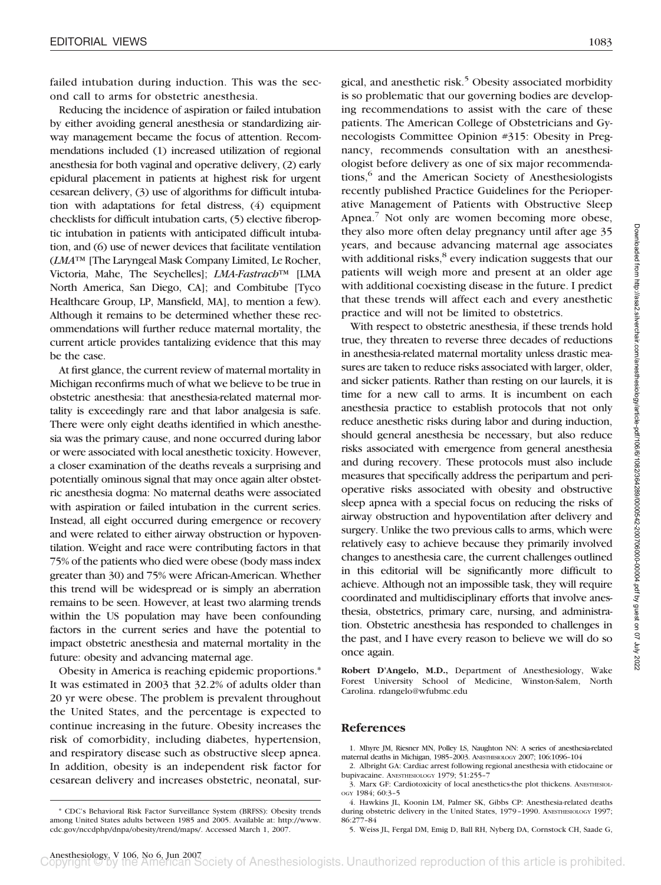failed intubation during induction. This was the second call to arms for obstetric anesthesia.

Reducing the incidence of aspiration or failed intubation by either avoiding general anesthesia or standardizing airway management became the focus of attention. Recommendations included (1) increased utilization of regional anesthesia for both vaginal and operative delivery, (2) early epidural placement in patients at highest risk for urgent cesarean delivery, (3) use of algorithms for difficult intubation with adaptations for fetal distress, (4) equipment checklists for difficult intubation carts, (5) elective fiberoptic intubation in patients with anticipated difficult intubation, and (6) use of newer devices that facilitate ventilation (*LMA*™ [The Laryngeal Mask Company Limited, Le Rocher, Victoria, Mahe, The Seychelles]; *LMA-Fastrach*™ [LMA North America, San Diego, CA]; and Combitube [Tyco Healthcare Group, LP, Mansfield, MA], to mention a few). Although it remains to be determined whether these recommendations will further reduce maternal mortality, the current article provides tantalizing evidence that this may be the case.

At first glance, the current review of maternal mortality in Michigan reconfirms much of what we believe to be true in obstetric anesthesia: that anesthesia-related maternal mortality is exceedingly rare and that labor analgesia is safe. There were only eight deaths identified in which anesthesia was the primary cause, and none occurred during labor or were associated with local anesthetic toxicity. However, a closer examination of the deaths reveals a surprising and potentially ominous signal that may once again alter obstetric anesthesia dogma: No maternal deaths were associated with aspiration or failed intubation in the current series. Instead, all eight occurred during emergence or recovery and were related to either airway obstruction or hypoventilation. Weight and race were contributing factors in that 75% of the patients who died were obese (body mass index greater than 30) and 75% were African-American. Whether this trend will be widespread or is simply an aberration remains to be seen. However, at least two alarming trends within the US population may have been confounding factors in the current series and have the potential to impact obstetric anesthesia and maternal mortality in the future: obesity and advancing maternal age.

Obesity in America is reaching epidemic proportions.\* It was estimated in 2003 that 32.2% of adults older than 20 yr were obese. The problem is prevalent throughout the United States, and the percentage is expected to continue increasing in the future. Obesity increases the risk of comorbidity, including diabetes, hypertension, and respiratory disease such as obstructive sleep apnea. In addition, obesity is an independent risk factor for cesarean delivery and increases obstetric, neonatal, sur-

gical, and anesthetic risk.<sup>5</sup> Obesity associated morbidity is so problematic that our governing bodies are developing recommendations to assist with the care of these patients. The American College of Obstetricians and Gynecologists Committee Opinion #315: Obesity in Pregnancy, recommends consultation with an anesthesiologist before delivery as one of six major recommendations,<sup>6</sup> and the American Society of Anesthesiologists recently published Practice Guidelines for the Perioperative Management of Patients with Obstructive Sleep Apnea.<sup>7</sup> Not only are women becoming more obese, they also more often delay pregnancy until after age 35 years, and because advancing maternal age associates with additional risks,<sup>8</sup> every indication suggests that our patients will weigh more and present at an older age with additional coexisting disease in the future. I predict that these trends will affect each and every anesthetic practice and will not be limited to obstetrics.

With respect to obstetric anesthesia, if these trends hold true, they threaten to reverse three decades of reductions in anesthesia-related maternal mortality unless drastic measures are taken to reduce risks associated with larger, older, and sicker patients. Rather than resting on our laurels, it is time for a new call to arms. It is incumbent on each anesthesia practice to establish protocols that not only reduce anesthetic risks during labor and during induction, should general anesthesia be necessary, but also reduce risks associated with emergence from general anesthesia and during recovery. These protocols must also include measures that specifically address the peripartum and perioperative risks associated with obesity and obstructive sleep apnea with a special focus on reducing the risks of airway obstruction and hypoventilation after delivery and surgery. Unlike the two previous calls to arms, which were relatively easy to achieve because they primarily involved changes to anesthesia care, the current challenges outlined in this editorial will be significantly more difficult to achieve. Although not an impossible task, they will require coordinated and multidisciplinary efforts that involve anesthesia, obstetrics, primary care, nursing, and administration. Obstetric anesthesia has responded to challenges in the past, and I have every reason to believe we will do so once again.

**Robert D'Angelo, M.D.,** Department of Anesthesiology, Wake Forest University School of Medicine, Winston-Salem, North Carolina. rdangelo@wfubmc.edu

#### **References**

<sup>\*</sup> CDC's Behavioral Risk Factor Surveillance System (BRFSS): Obesity trends among United States adults between 1985 and 2005. Available at: http://www. cdc.gov/nccdphp/dnpa/obesity/trend/maps/. Accessed March 1, 2007.

<sup>1.</sup> Mhyre JM, Riesner MN, Polley LS, Naughton NN: A series of anesthesia-related maternal deaths in Michigan, 1985–2003. ANESTHESIOLOGY 2007; 106:1096–104

<sup>2.</sup> Albright GA: Cardiac arrest following regional anesthesia with etidocaine or bupivacaine. ANESTHESIOLOGY 1979; 51:255-

<sup>3.</sup> Marx GF: Cardiotoxicity of local anesthetics-the plot thickens. ANESTHESIOL-OGY 1984; 60:3–5

<sup>4.</sup> Hawkins JL, Koonin LM, Palmer SK, Gibbs CP: Anesthesia-related deaths during obstetric delivery in the United States, 1979-1990. ANESTHESIOLOGY 1997; 86:277–84

<sup>5.</sup> Weiss JL, Fergal DM, Emig D, Ball RH, Nyberg DA, Cornstock CH, Saade G,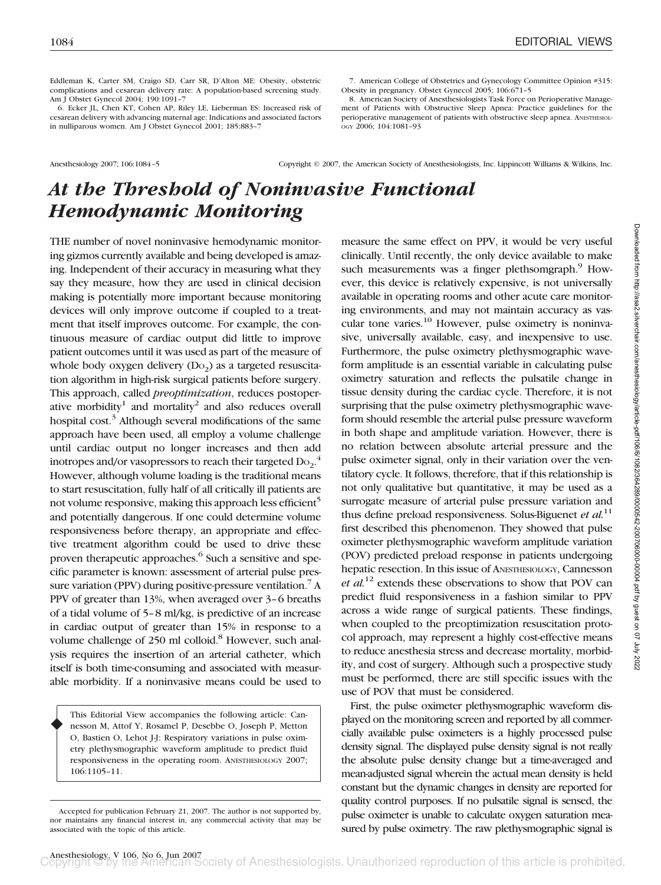Eddleman K, Carter SM, Craigo SD, Carr SR, D'Alton ME: Obesity, obstetric complications and cesarean delivery rate: A population-based screening study. Am J Obstet Gynecol 2004; 190:1091–7

6. Ecker JL, Chen KT, Cohen AP, Riley LE, Lieberman ES: Increased risk of cesarean delivery with advancing maternal age: Indications and associated factors in nulliparous women. Am J Obstet Gynecol 2001; 185:883–7

7. American College of Obstetrics and Gynecology Committee Opinion #315: Obesity in pregnancy. Obstet Gynecol 2005; 106:671–5

8. American Society of Anesthesiologists Task Force on Perioperative Management of Patients with Obstructive Sleep Apnea: Practice guidelines for the perioperative management of patients with obstructive sleep apnea. ANESTHESIOL-OGY 2006; 104:1081–93

Anesthesiology 2007; 106:1084–5 Copyright © 2007, the American Society of Anesthesiologists, Inc. Lippincott Williams & Wilkins, Inc.

# *At the Threshold of Noninvasive Functional Hemodynamic Monitoring*

THE number of novel noninvasive hemodynamic monitoring gizmos currently available and being developed is amazing. Independent of their accuracy in measuring what they say they measure, how they are used in clinical decision making is potentially more important because monitoring devices will only improve outcome if coupled to a treatment that itself improves outcome. For example, the continuous measure of cardiac output did little to improve patient outcomes until it was used as part of the measure of whole body oxygen delivery  $(D<sub>0</sub>)$  as a targeted resuscitation algorithm in high-risk surgical patients before surgery. This approach, called *preoptimization*, reduces postoperative morbidity<sup>1</sup> and mortality<sup>2</sup> and also reduces overall hospital cost. $3$  Although several modifications of the same approach have been used, all employ a volume challenge until cardiac output no longer increases and then add inotropes and/or vasopressors to reach their targeted  $Do_2$ . However, although volume loading is the traditional means to start resuscitation, fully half of all critically ill patients are not volume responsive, making this approach less efficient<sup>5</sup> and potentially dangerous. If one could determine volume responsiveness before therapy, an appropriate and effective treatment algorithm could be used to drive these proven therapeutic approaches.<sup>6</sup> Such a sensitive and specific parameter is known: assessment of arterial pulse pressure variation (PPV) during positive-pressure ventilation.<sup>7</sup> A PPV of greater than 13%, when averaged over 3–6 breaths of a tidal volume of 5–8 ml/kg, is predictive of an increase in cardiac output of greater than 15% in response to a volume challenge of 250 ml colloid.<sup>8</sup> However, such analysis requires the insertion of an arterial catheter, which itself is both time-consuming and associated with measurable morbidity. If a noninvasive means could be used to

This Editorial View accompanies the following article: Cannesson M, Attof Y, Rosamel P, Desebbe O, Joseph P, Metton O, Bastien O, Lehot J-J: Respiratory variations in pulse oximetry plethysmographic waveform amplitude to predict fluid responsiveness in the operating room. ANESTHESIOLOGY 2007; 106:1105–11. ♦

measure the same effect on PPV, it would be very useful clinically. Until recently, the only device available to make such measurements was a finger plethsomgraph.<sup>9</sup> However, this device is relatively expensive, is not universally available in operating rooms and other acute care monitoring environments, and may not maintain accuracy as vascular tone varies.<sup>10</sup> However, pulse oximetry is noninvasive, universally available, easy, and inexpensive to use. Furthermore, the pulse oximetry plethysmographic waveform amplitude is an essential variable in calculating pulse oximetry saturation and reflects the pulsatile change in tissue density during the cardiac cycle. Therefore, it is not surprising that the pulse oximetry plethysmographic waveform should resemble the arterial pulse pressure waveform in both shape and amplitude variation. However, there is no relation between absolute arterial pressure and the pulse oximeter signal, only in their variation over the ventilatory cycle. It follows, therefore, that if this relationship is not only qualitative but quantitative, it may be used as a surrogate measure of arterial pulse pressure variation and thus define preload responsiveness. Solus-Biguenet *et al.*<sup>11</sup> first described this phenomenon. They showed that pulse oximeter plethysmographic waveform amplitude variation (POV) predicted preload response in patients undergoing hepatic resection. In this issue of ANESTHESIOLOGY, Cannesson *et al.*<sup>12</sup> extends these observations to show that POV can predict fluid responsiveness in a fashion similar to PPV across a wide range of surgical patients. These findings, when coupled to the preoptimization resuscitation protocol approach, may represent a highly cost-effective means to reduce anesthesia stress and decrease mortality, morbidity, and cost of surgery. Although such a prospective study must be performed, there are still specific issues with the use of POV that must be considered. First, the pulse oximeter plethysmographic waveform dis-

played on the monitoring screen and reported by all commercially available pulse oximeters is a highly processed pulse density signal. The displayed pulse density signal is not really the absolute pulse density change but a time-averaged and mean-adjusted signal wherein the actual mean density is held constant but the dynamic changes in density are reported for quality control purposes. If no pulsatile signal is sensed, the pulse oximeter is unable to calculate oxygen saturation measured by pulse oximetry. The raw plethysmographic signal is

Accepted for publication February 21, 2007. The author is not supported by, nor maintains any financial interest in, any commercial activity that may be associated with the topic of this article.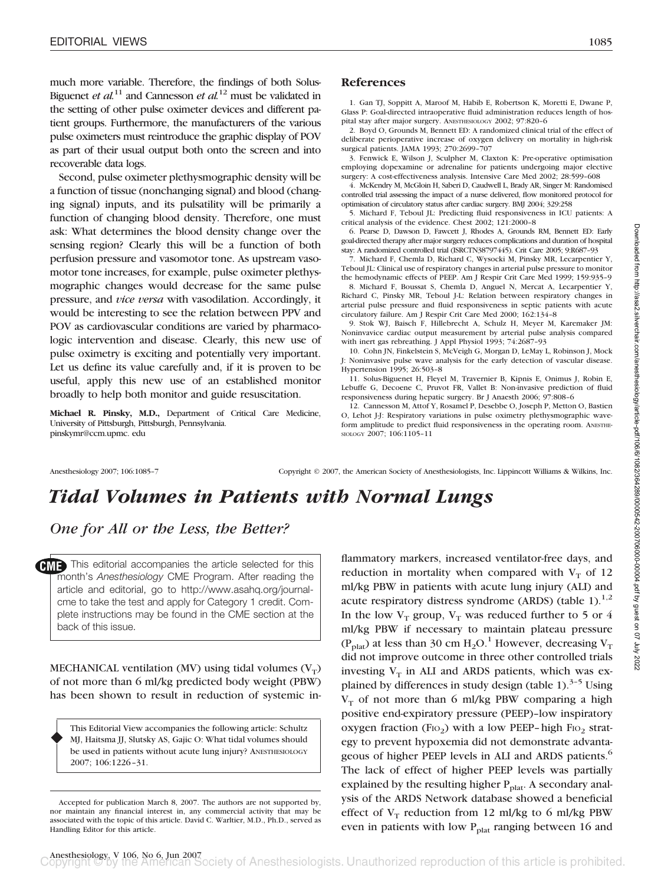much more variable. Therefore, the findings of both Solus-Biguenet *et al.*<sup>11</sup> and Cannesson *et al.*<sup>12</sup> must be validated in the setting of other pulse oximeter devices and different patient groups. Furthermore, the manufacturers of the various pulse oximeters must reintroduce the graphic display of POV as part of their usual output both onto the screen and into recoverable data logs.

Second, pulse oximeter plethysmographic density will be a function of tissue (nonchanging signal) and blood (changing signal) inputs, and its pulsatility will be primarily a function of changing blood density. Therefore, one must ask: What determines the blood density change over the sensing region? Clearly this will be a function of both perfusion pressure and vasomotor tone. As upstream vasomotor tone increases, for example, pulse oximeter plethysmographic changes would decrease for the same pulse pressure, and *vice versa* with vasodilation. Accordingly, it would be interesting to see the relation between PPV and POV as cardiovascular conditions are varied by pharmacologic intervention and disease. Clearly, this new use of pulse oximetry is exciting and potentially very important. Let us define its value carefully and, if it is proven to be useful, apply this new use of an established monitor broadly to help both monitor and guide resuscitation.

**Michael R. Pinsky, M.D.,** Department of Critical Care Medicine, University of Pittsburgh, Pittsburgh, Pennsylvania. pinskymr@ccm.upmc. edu

**References**

1. Gan TJ, Soppitt A, Maroof M, Habib E, Robertson K, Moretti E, Dwane P, Glass P: Goal-directed intraoperative fluid administration reduces length of hospital stay after major surgery. ANESTHESIOLOGY 2002; 97:820–6

2. Boyd O, Grounds M, Bennett ED: A randomized clinical trial of the effect of deliberate perioperative increase of oxygen delivery on mortality in high-risk surgical patients. JAMA 1993; 270:2699–707

3. Fenwick E, Wilson J, Sculpher M, Claxton K: Pre-operative optimisation employing dopexamine or adrenaline for patients undergoing major elective surgery: A cost-effectiveness analysis. Intensive Care Med 2002; 28:599–608

4. McKendry M, McGloin H, Saberi D, Caudwell L, Brady AR, Singer M: Randomised controlled trial assessing the impact of a nurse delivered, flow monitored protocol for optimisation of circulatory status after cardiac surgery. BMJ 2004; 329:258

5. Michard F, Teboul JL: Predicting fluid responsiveness in ICU patients: A critical analysis of the evidence. Chest 2002; 121:2000–8

6. Pearse D, Dawson D, Fawcett J, Rhodes A, Grounds RM, Bennett ED: Early goal-directed therapy after major surgery reduces complications and duration of hospital stay: A randomized controlled trial (ISRCTN38797445). Crit Care 2005; 9:R687–93

7. Michard F, Chemla D, Richard C, Wysocki M, Pinsky MR, Lecarpentier Y, Teboul JL: Clinical use of respiratory changes in arterial pulse pressure to monitor the hemodynamic effects of PEEP. Am J Respir Crit Care Med 1999; 159:935–9

8. Michard F, Boussat S, Chemla D, Anguel N, Mercat A, Lecarpentier Y, Richard C, Pinsky MR, Teboul J-L: Relation between respiratory changes in arterial pulse pressure and fluid responsiveness in septic patients with acute circulatory failure. Am J Respir Crit Care Med 2000; 162:134–8

9. Stok WJ, Baisch F, Hillebrecht A, Schulz H, Meyer M, Karemaker JM: Noninvavice cardiac output measurement by arterial pulse analysis compared with inert gas rebreathing. J Appl Physiol 1993; 74:2687–93

10. Cohn JN, Finkelstein S, McVeigh G, Morgan D, LeMay L, Robinson J, Mock J: Noninvasive pulse wave analysis for the early detection of vascular disease. Hypertension 1995; 26:503–8

11. Solus-Biguenet H, Fleyel M, Travernier B, Kipnis E, Onimus J, Robin E, Lebuffe G, Decoene C, Pruvot FR, Vallet B: Non-invasive prediction of fluid responsiveness during hepatic surgery. Br J Anaesth 2006; 97:808–6

12. Cannesson M, Attof Y, Rosamel P, Desebbe O, Joseph P, Metton O, Bastien O, Lehot J-J: Respiratory variations in pulse oximetry plethysmographic waveform amplitude to predict fluid responsiveness in the operating room. ANESTHE-SIOLOGY 2007; 106:1105–11

Anesthesiology 2007; 106:1085–7 Copyright © 2007, the American Society of Anesthesiologists, Inc. Lippincott Williams & Wilkins, Inc.

## *Tidal Volumes in Patients with Normal Lungs*

*One for All or the Less, the Better?*

**HMED** This editorial accompanies the article selected for this month's *Anesthesiology* CME Program. After reading the article and editorial, go to http://www.asahq.org/journalcme to take the test and apply for Category 1 credit. Complete instructions may be found in the CME section at the back of this issue.

MECHANICAL ventilation (MV) using tidal volumes  $(V_T)$ of not more than 6 ml/kg predicted body weight (PBW) has been shown to result in reduction of systemic in-

This Editorial View accompanies the following article: Schultz MJ, Haitsma JJ, Slutsky AS, Gajic O: What tidal volumes should be used in patients without acute lung injury? ANESTHESIOLOGY 2007; 106:1226–31. ♦

flammatory markers, increased ventilator-free days, and reduction in mortality when compared with  $V_T$  of 12 ml/kg PBW in patients with acute lung injury (ALI) and acute respiratory distress syndrome (ARDS) (table  $1$ ).<sup>1,2</sup> In the low  $V_T$  group,  $V_T$  was reduced further to 5 or 4 ml/kg PBW if necessary to maintain plateau pressure ( $P_{\text{plat}}$ ) at less than 30 cm H<sub>2</sub>O.<sup>1</sup> However, decreasing V<sub>T</sub> did not improve outcome in three other controlled trials investing  $V_T$  in ALI and ARDS patients, which was explained by differences in study design (table 1). $3-5$  Using  $V_T$  of not more than 6 ml/kg PBW comparing a high positive end-expiratory pressure (PEEP)–low inspiratory oxygen fraction (F<sub>IO<sub>2</sub>) with a low PEEP–high F<sub>IO<sub>2</sub></sub> strat-</sub> egy to prevent hypoxemia did not demonstrate advantageous of higher PEEP levels in ALI and ARDS patients.<sup>6</sup> The lack of effect of higher PEEP levels was partially explained by the resulting higher  $P_{plat}$ . A secondary analysis of the ARDS Network database showed a beneficial effect of  $V_T$  reduction from 12 ml/kg to 6 ml/kg PBW even in patients with low  $P_{\text{plat}}$  ranging between 16 and

Accepted for publication March 8, 2007. The authors are not supported by, nor maintain any financial interest in, any commercial activity that may be associated with the topic of this article. David C. Warltier, M.D., Ph.D., served as Handling Editor for this article.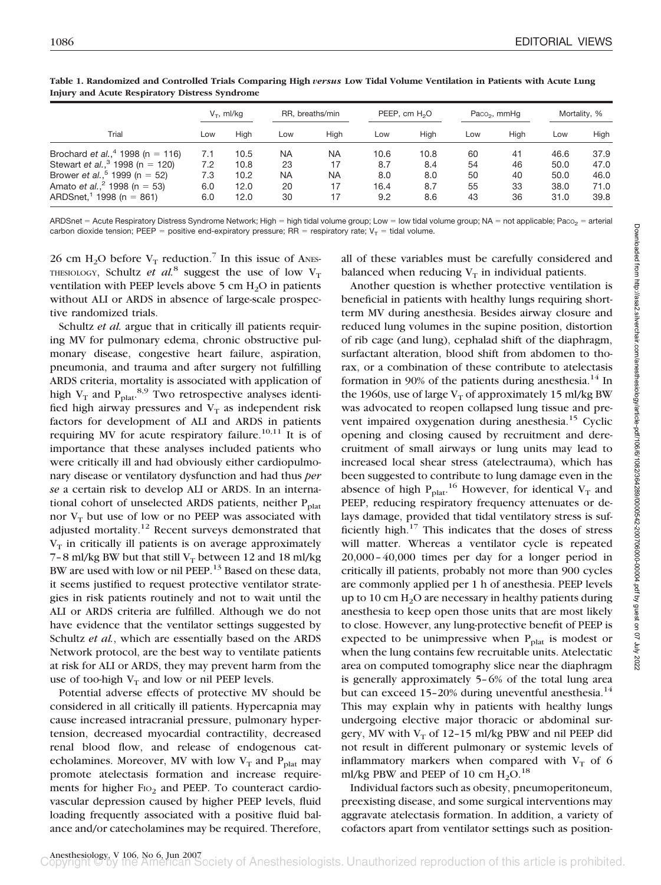| Trial                                               | $V_{\tau}$ , ml/kg |      | RR. breaths/min |           | PEEP, cm H <sub>2</sub> O |      | Paco <sub>2</sub> , mmHq |      | Mortality, % |      |
|-----------------------------------------------------|--------------------|------|-----------------|-----------|---------------------------|------|--------------------------|------|--------------|------|
|                                                     | Low                | Hiah | Low             | High      | Low                       | High | Low                      | High | Low          | High |
| Brochard et al., $4\,1998$ (n = 116)                | 7.1                | 10.5 | NA.             | <b>NA</b> | 10.6                      | 10.8 | 60                       | 41   | 46.6         | 37.9 |
| Stewart <i>et al.</i> , <sup>3</sup> 1998 (n = 120) | 7.2                | 10.8 | 23              | 17        | 8.7                       | 8.4  | 54                       | 46   | 50.0         | 47.0 |
| Brower <i>et al.</i> , <sup>5</sup> 1999 (n = 52)   | 7.3                | 10.2 | <b>NA</b>       | <b>NA</b> | 8.0                       | 8.0  | 50                       | 40   | 50.0         | 46.0 |
| Amato <i>et al.</i> , <sup>2</sup> 1998 (n = 53)    | 6.0                | 12.0 | 20              | 17        | 16.4                      | 8.7  | 55                       | 33   | 38.0         | 71.0 |
| ARDSnet, <sup>1</sup> 1998 (n = 861)                | 6.0                | 12.0 | 30              | 17        | 9.2                       | 8.6  | 43                       | 36   | 31.0         | 39.8 |

**Table 1. Randomized and Controlled Trials Comparing High** *versus* **Low Tidal Volume Ventilation in Patients with Acute Lung Injury and Acute Respiratory Distress Syndrome**

ARDSnet = Acute Respiratory Distress Syndrome Network; High = high tidal volume group; Low = low tidal volume group; NA = not applicable; Paco<sub>2</sub> = arterial carbon dioxide tension; PEEP = positive end-expiratory pressure; RR = respiratory rate; V<sub>T</sub> = tidal volume.

26 cm H<sub>2</sub>O before  $V_T$  reduction.<sup>7</sup> In this issue of ANES-THESIOLOGY, Schultz *et al.*<sup>8</sup> suggest the use of low  $V_T$ ventilation with PEEP levels above  $5 \text{ cm H}_{2}$ O in patients without ALI or ARDS in absence of large-scale prospective randomized trials.

Schultz *et al.* argue that in critically ill patients requiring MV for pulmonary edema, chronic obstructive pulmonary disease, congestive heart failure, aspiration, pneumonia, and trauma and after surgery not fulfilling ARDS criteria, mortality is associated with application of high  $V_T$  and  $P_{\text{plat}}^{8,9}$  Two retrospective analyses identified high airway pressures and  $V_T$  as independent risk factors for development of ALI and ARDS in patients requiring MV for acute respiratory failure.<sup>10,11</sup> It is of importance that these analyses included patients who were critically ill and had obviously either cardiopulmonary disease or ventilatory dysfunction and had thus *per se* a certain risk to develop ALI or ARDS. In an international cohort of unselected ARDS patients, neither  $P_{\text{plat}}$ nor  $V_T$  but use of low or no PEEP was associated with adjusted mortality.12 Recent surveys demonstrated that  $V_T$  in critically ill patients is on average approximately 7–8 ml/kg BW but that still  $V_T$  between 12 and 18 ml/kg BW are used with low or nil PEEP.<sup>13</sup> Based on these data, it seems justified to request protective ventilator strategies in risk patients routinely and not to wait until the ALI or ARDS criteria are fulfilled. Although we do not have evidence that the ventilator settings suggested by Schultz *et al.*, which are essentially based on the ARDS Network protocol, are the best way to ventilate patients at risk for ALI or ARDS, they may prevent harm from the use of too-high  $V_T$  and low or nil PEEP levels.

Potential adverse effects of protective MV should be considered in all critically ill patients. Hypercapnia may cause increased intracranial pressure, pulmonary hypertension, decreased myocardial contractility, decreased renal blood flow, and release of endogenous catecholamines. Moreover, MV with low  $V_T$  and  $P_{\text{plat}}$  may promote atelectasis formation and increase requirements for higher FIO<sub>2</sub> and PEEP. To counteract cardiovascular depression caused by higher PEEP levels, fluid loading frequently associated with a positive fluid balance and/or catecholamines may be required. Therefore,

all of these variables must be carefully considered and balanced when reducing  $V_T$  in individual patients.

Another question is whether protective ventilation is beneficial in patients with healthy lungs requiring shortterm MV during anesthesia. Besides airway closure and reduced lung volumes in the supine position, distortion of rib cage (and lung), cephalad shift of the diaphragm, surfactant alteration, blood shift from abdomen to thorax, or a combination of these contribute to atelectasis formation in 90% of the patients during anesthesia.<sup>14</sup> In the 1960s, use of large  $V<sub>T</sub>$  of approximately 15 ml/kg BW was advocated to reopen collapsed lung tissue and prevent impaired oxygenation during anesthesia.<sup>15</sup> Cyclic opening and closing caused by recruitment and derecruitment of small airways or lung units may lead to increased local shear stress (atelectrauma), which has been suggested to contribute to lung damage even in the absence of high  $P_{\text{plat}}$ .<sup>16</sup> However, for identical  $V_T$  and PEEP, reducing respiratory frequency attenuates or delays damage, provided that tidal ventilatory stress is sufficiently high. $17$  This indicates that the doses of stress will matter. Whereas a ventilator cycle is repeated 20,000–40,000 times per day for a longer period in critically ill patients, probably not more than 900 cycles are commonly applied per 1 h of anesthesia. PEEP levels up to 10 cm  $H<sub>2</sub>O$  are necessary in healthy patients during anesthesia to keep open those units that are most likely to close. However, any lung-protective benefit of PEEP is expected to be unimpressive when  $P_{\text{plat}}$  is modest or when the lung contains few recruitable units. Atelectatic area on computed tomography slice near the diaphragm is generally approximately 5–6% of the total lung area but can exceed 15–20% during uneventful anesthesia.<sup>14</sup> This may explain why in patients with healthy lungs undergoing elective major thoracic or abdominal surgery, MV with  $V_T$  of 12–15 ml/kg PBW and nil PEEP did not result in different pulmonary or systemic levels of inflammatory markers when compared with  $V_T$  of 6 ml/kg PBW and PEEP of 10 cm  $H_2O$ .<sup>18</sup>

Individual factors such as obesity, pneumoperitoneum, preexisting disease, and some surgical interventions may aggravate atelectasis formation. In addition, a variety of cofactors apart from ventilator settings such as position